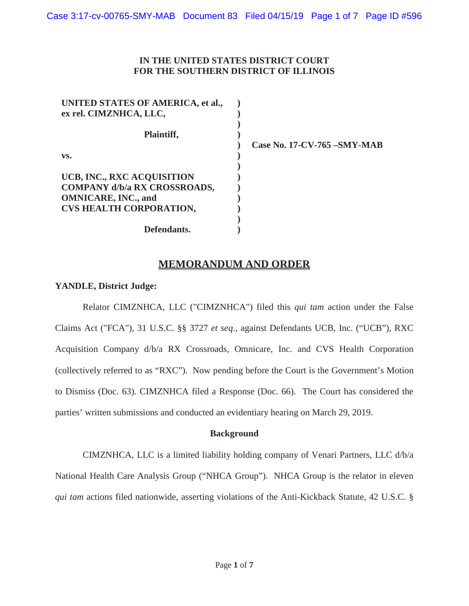## **IN THE UNITED STATES DISTRICT COURT FOR THE SOUTHERN DISTRICT OF ILLINOIS**

| UNITED STATES OF AMERICA, et al.,   |  |
|-------------------------------------|--|
| ex rel. CIMZNHCA, LLC,              |  |
|                                     |  |
| Plaintiff,                          |  |
|                                     |  |
| VS.                                 |  |
|                                     |  |
| UCB, INC., RXC ACQUISITION          |  |
| <b>COMPANY d/b/a RX CROSSROADS,</b> |  |
| <b>OMNICARE, INC., and</b>          |  |
| <b>CVS HEALTH CORPORATION,</b>      |  |
|                                     |  |
| Defendants.                         |  |

**Case No. 17-CV-765 –SMY-MAB**

# **MEMORANDUM AND ORDER**

#### **YANDLE, District Judge:**

Relator CIMZNHCA, LLC ("CIMZNHCA") filed this *qui tam* action under the False Claims Act ("FCA"), 31 U.S.C. §§ 3727 *et seq*., against Defendants UCB, Inc. ("UCB"), RXC Acquisition Company d/b/a RX Crossroads, Omnicare, Inc. and CVS Health Corporation (collectively referred to as "RXC"). Now pending before the Court is the Government's Motion to Dismiss (Doc. 63). CIMZNHCA filed a Response (Doc. 66). The Court has considered the parties' written submissions and conducted an evidentiary hearing on March 29, 2019.

### **Background**

CIMZNHCA, LLC is a limited liability holding company of Venari Partners, LLC d/b/a National Health Care Analysis Group ("NHCA Group"). NHCA Group is the relator in eleven *qui tam* actions filed nationwide, asserting violations of the Anti-Kickback Statute, 42 U.S.C. §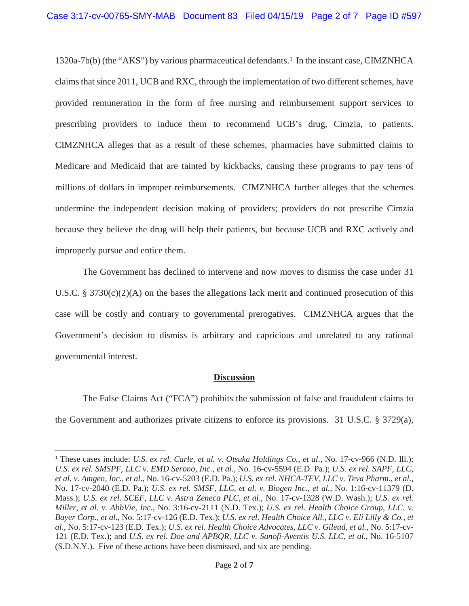1320a-7b(b) (the "AKS") by various pharmaceutical defendants.<sup>1</sup> In the instant case, CIMZNHCA claims that since 2011, UCB and RXC, through the implementation of two different schemes, have provided remuneration in the form of free nursing and reimbursement support services to prescribing providers to induce them to recommend UCB's drug, Cimzia, to patients. CIMZNHCA alleges that as a result of these schemes, pharmacies have submitted claims to Medicare and Medicaid that are tainted by kickbacks, causing these programs to pay tens of millions of dollars in improper reimbursements. CIMZNHCA further alleges that the schemes undermine the independent decision making of providers; providers do not prescribe Cimzia because they believe the drug will help their patients, but because UCB and RXC actively and improperly pursue and entice them.

The Government has declined to intervene and now moves to dismiss the case under 31 U.S.C. § 3730(c)(2)(A) on the bases the allegations lack merit and continued prosecution of this case will be costly and contrary to governmental prerogatives. CIMZNHCA argues that the Government's decision to dismiss is arbitrary and capricious and unrelated to any rational governmental interest.

### **Discussion**

The False Claims Act ("FCA") prohibits the submission of false and fraudulent claims to the Government and authorizes private citizens to enforce its provisions. 31 U.S.C. § 3729(a),

<sup>1</sup> These cases include: *U.S. ex rel. Carle, et al. v. Otsuka Holdings Co., et al*., No. 17-cv-966 (N.D. Ill.); *U.S. ex rel. SMSPF, LLC v. EMD Serono, Inc., et al.*, No. 16-cv-5594 (E.D. Pa.); *U.S. ex rel. SAPF, LLC, et al. v. Amgen, Inc., et al*., No. 16-cv-5203 (E.D. Pa.); *U.S. ex rel. NHCA-TEV, LLC v. Teva Pharm., et al*., No. 17-cv-2040 (E.D. Pa.); *U.S. ex rel. SMSF, LLC, et al. v. Biogen Inc., et al.*, No. 1:16-cv-11379 (D. Mass.); *U.S. ex rel. SCEF, LLC v. Astra Zeneca PLC, et al*., No. 17-cv-1328 (W.D. Wash.); *U.S. ex rel. Miller, et al. v. AbbVie, Inc.*, No. 3:16-cv-2111 (N.D. Tex.); *U.S. ex rel. Health Choice Group, LLC. v. Bayer Corp., et al.*, No. 5:17-cv-126 (E.D. Tex.); *U.S. ex rel. Health Choice All., LLC v. Eli Lilly & Co., et al*., No. 5:17-cv-123 (E.D. Tex.); *U.S. ex rel. Health Choice Advocates, LLC v. Gilead, et al.*, No. 5:17-cv-121 (E.D. Tex.); and *U.S. ex rel. Doe and APBQR, LLC v. Sanofi-Aventis U.S. LLC, et al.*, No. 16-5107 (S.D.N.Y.). Five of these actions have been dismissed, and six are pending.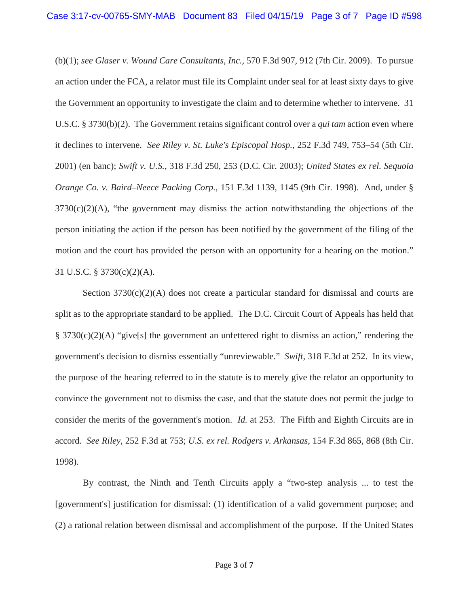(b)(1); *see Glaser v. Wound Care Consultants, Inc.,* 570 F.3d 907, 912 (7th Cir. 2009). To pursue an action under the FCA, a relator must file its Complaint under seal for at least sixty days to give the Government an opportunity to investigate the claim and to determine whether to intervene. 31 U.S.C. § 3730(b)(2). The Government retains significant control over a *qui tam* action even where it declines to intervene. *See Riley v. St. Luke's Episcopal Hosp.,* 252 F.3d 749, 753–54 (5th Cir. 2001) (en banc); *Swift v. U.S.,* 318 F.3d 250, 253 (D.C. Cir. 2003); *United States ex rel. Sequoia Orange Co. v. Baird–Neece Packing Corp.,* 151 F.3d 1139, 1145 (9th Cir. 1998). And, under §  $3730(c)(2)(A)$ , "the government may dismiss the action notwithstanding the objections of the person initiating the action if the person has been notified by the government of the filing of the motion and the court has provided the person with an opportunity for a hearing on the motion." 31 U.S.C. § 3730(c)(2)(A).

Section  $3730(c)(2)(A)$  does not create a particular standard for dismissal and courts are split as to the appropriate standard to be applied. The D.C. Circuit Court of Appeals has held that §  $3730(c)(2)(A)$  "give[s] the government an unfettered right to dismiss an action," rendering the government's decision to dismiss essentially "unreviewable." *Swift,* 318 F.3d at 252. In its view, the purpose of the hearing referred to in the statute is to merely give the relator an opportunity to convince the government not to dismiss the case, and that the statute does not permit the judge to consider the merits of the government's motion. *Id.* at 253. The Fifth and Eighth Circuits are in accord. *See Riley,* 252 F.3d at 753; *U.S. ex rel. Rodgers v. Arkansas*, 154 F.3d 865, 868 (8th Cir. 1998).

By contrast, the Ninth and Tenth Circuits apply a "two-step analysis ... to test the [government's] justification for dismissal: (1) identification of a valid government purpose; and (2) a rational relation between dismissal and accomplishment of the purpose. If the United States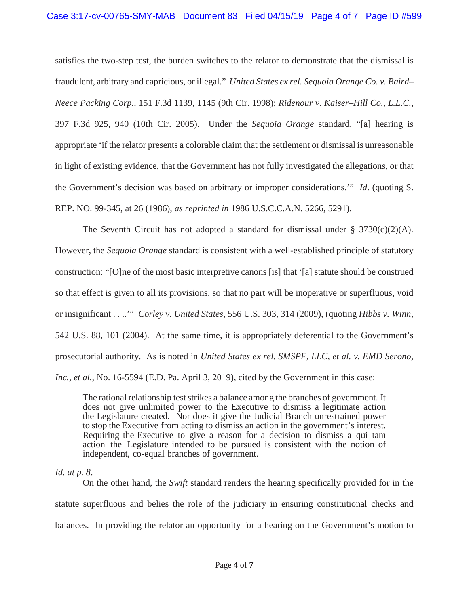satisfies the two-step test, the burden switches to the relator to demonstrate that the dismissal is fraudulent, arbitrary and capricious, or illegal." *United States ex rel. Sequoia Orange Co. v. Baird– Neece Packing Corp.,* 151 F.3d 1139, 1145 (9th Cir. 1998); *Ridenour v. Kaiser–Hill Co., L.L.C.,* 397 F.3d 925, 940 (10th Cir. 2005). Under the *Sequoia Orange* standard, "[a] hearing is appropriate 'if the relator presents a colorable claim that the settlement or dismissal is unreasonable in light of existing evidence, that the Government has not fully investigated the allegations, or that the Government's decision was based on arbitrary or improper considerations.'" *Id*. (quoting S. REP. NO. 99-345, at 26 (1986), *as reprinted in* 1986 U.S.C.C.A.N. 5266, 5291).

The Seventh Circuit has not adopted a standard for dismissal under  $\S 3730(c)(2)(A)$ . However, the *Sequoia Orange* standard is consistent with a well-established principle of statutory construction: "[O]ne of the most basic interpretive canons [is] that '[a] statute should be construed so that effect is given to all its provisions, so that no part will be inoperative or superfluous, void or insignificant . . ..'" *Corley v. United States*, 556 U.S. 303, 314 (2009), (quoting *Hibbs v. Winn*, 542 U.S. 88, 101 (2004). At the same time, it is appropriately deferential to the Government's prosecutorial authority. As is noted in *United States ex rel. SMSPF, LLC, et al. v. EMD Serono, Inc.*, *et al.*, No. 16-5594 (E.D. Pa. April 3, 2019), cited by the Government in this case:

The rational relationship test strikes a balance among the branches of government. It does not give unlimited power to the Executive to dismiss a legitimate action the Legislature created. Nor does it give the Judicial Branch unrestrained power to stop the Executive from acting to dismiss an action in the government's interest. Requiring the Executive to give a reason for a decision to dismiss a qui tam action the Legislature intended to be pursued is consistent with the notion of independent, co-equal branches of government.

### *Id. at p. 8*.

On the other hand, the *Swift* standard renders the hearing specifically provided for in the statute superfluous and belies the role of the judiciary in ensuring constitutional checks and balances. In providing the relator an opportunity for a hearing on the Government's motion to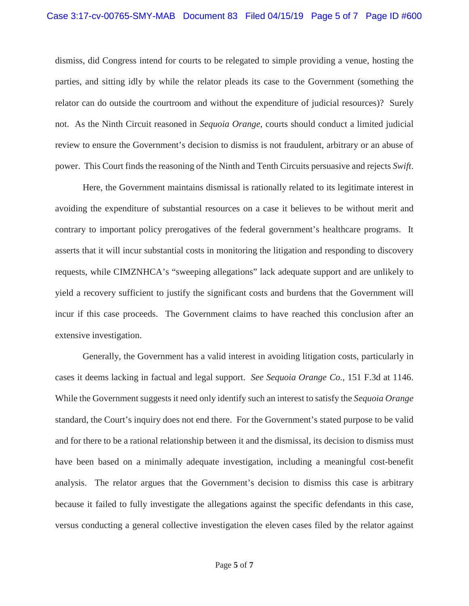dismiss, did Congress intend for courts to be relegated to simple providing a venue, hosting the parties, and sitting idly by while the relator pleads its case to the Government (something the relator can do outside the courtroom and without the expenditure of judicial resources)? Surely not. As the Ninth Circuit reasoned in *Sequoia Orange*, courts should conduct a limited judicial review to ensure the Government's decision to dismiss is not fraudulent, arbitrary or an abuse of power. This Court finds the reasoning of the Ninth and Tenth Circuits persuasive and rejects *Swift*.

Here, the Government maintains dismissal is rationally related to its legitimate interest in avoiding the expenditure of substantial resources on a case it believes to be without merit and contrary to important policy prerogatives of the federal government's healthcare programs. It asserts that it will incur substantial costs in monitoring the litigation and responding to discovery requests, while CIMZNHCA's "sweeping allegations" lack adequate support and are unlikely to yield a recovery sufficient to justify the significant costs and burdens that the Government will incur if this case proceeds. The Government claims to have reached this conclusion after an extensive investigation.

Generally, the Government has a valid interest in avoiding litigation costs, particularly in cases it deems lacking in factual and legal support. *See Sequoia Orange Co.,* 151 F.3d at 1146. While the Government suggests it need only identify such an interest to satisfy the *Sequoia Orange* standard, the Court's inquiry does not end there. For the Government's stated purpose to be valid and for there to be a rational relationship between it and the dismissal, its decision to dismiss must have been based on a minimally adequate investigation, including a meaningful cost-benefit analysis. The relator argues that the Government's decision to dismiss this case is arbitrary because it failed to fully investigate the allegations against the specific defendants in this case, versus conducting a general collective investigation the eleven cases filed by the relator against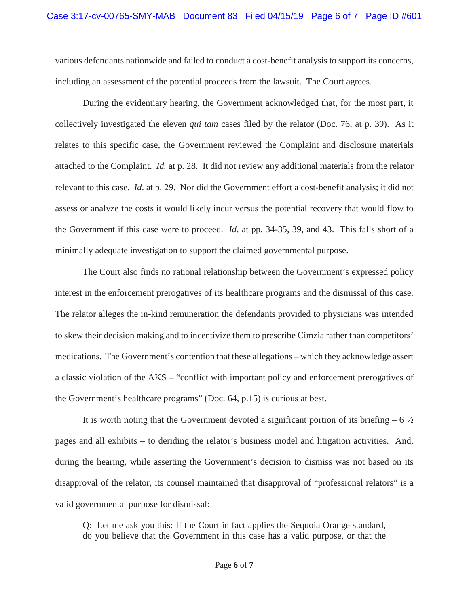various defendants nationwide and failed to conduct a cost-benefit analysis to support its concerns, including an assessment of the potential proceeds from the lawsuit. The Court agrees.

During the evidentiary hearing, the Government acknowledged that, for the most part, it collectively investigated the eleven *qui tam* cases filed by the relator (Doc. 76, at p. 39). As it relates to this specific case, the Government reviewed the Complaint and disclosure materials attached to the Complaint. *Id.* at p. 28. It did not review any additional materials from the relator relevant to this case. *Id*. at p. 29. Nor did the Government effort a cost-benefit analysis; it did not assess or analyze the costs it would likely incur versus the potential recovery that would flow to the Government if this case were to proceed. *Id*. at pp. 34-35, 39, and 43. This falls short of a minimally adequate investigation to support the claimed governmental purpose.

The Court also finds no rational relationship between the Government's expressed policy interest in the enforcement prerogatives of its healthcare programs and the dismissal of this case. The relator alleges the in-kind remuneration the defendants provided to physicians was intended to skew their decision making and to incentivize them to prescribe Cimzia rather than competitors' medications. The Government's contention that these allegations – which they acknowledge assert a classic violation of the AKS – "conflict with important policy and enforcement prerogatives of the Government's healthcare programs" (Doc. 64, p.15) is curious at best.

It is worth noting that the Government devoted a significant portion of its briefing – 6  $\frac{1}{2}$ pages and all exhibits – to deriding the relator's business model and litigation activities. And, during the hearing, while asserting the Government's decision to dismiss was not based on its disapproval of the relator, its counsel maintained that disapproval of "professional relators" is a valid governmental purpose for dismissal:

Q: Let me ask you this: If the Court in fact applies the Sequoia Orange standard, do you believe that the Government in this case has a valid purpose, or that the